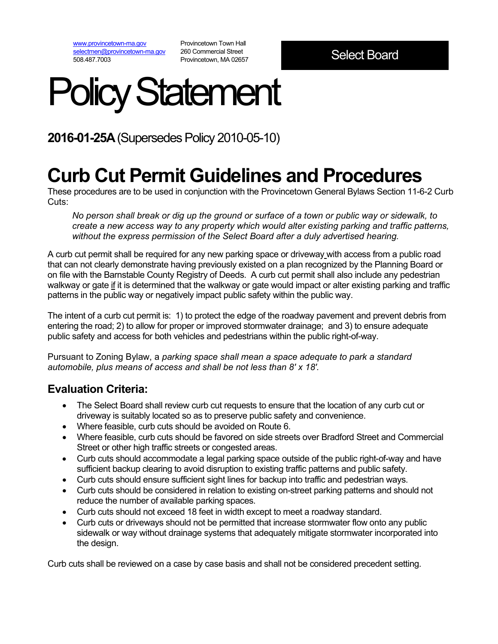[www.provincetown-ma.gov](http://www.provincetown-ma.gov/) [selectmen@provincetown-ma.gov](mailto:selectmen@provincetown-ma.gov) 508.487.7003

Provincetown Town Hall 260 Commercial Street Provincetown, MA 02657

# Policy Statement

**2016-01-25A** (Supersedes Policy 2010-05-10)

## **Curb Cut Permit Guidelines and Procedures**

These procedures are to be used in conjunction with the Provincetown General Bylaws Section 11-6-2 Curb Cuts:

*No person shall break or dig up the ground or surface of a town or public way or sidewalk, to create a new access way to any property which would alter existing parking and traffic patterns, without the express permission of the Select Board after a duly advertised hearing.*

A curb cut permit shall be required for any new parking space or driveway with access from a public road that can not clearly demonstrate having previously existed on a plan recognized by the Planning Board or on file with the Barnstable County Registry of Deeds. A curb cut permit shall also include any pedestrian walkway or gate if it is determined that the walkway or gate would impact or alter existing parking and traffic patterns in the public way or negatively impact public safety within the public way.

The intent of a curb cut permit is: 1) to protect the edge of the roadway pavement and prevent debris from entering the road; 2) to allow for proper or improved stormwater drainage; and 3) to ensure adequate public safety and access for both vehicles and pedestrians within the public right-of-way.

Pursuant to Zoning Bylaw, a *parking space shall mean a space adequate to park a standard automobile, plus means of access and shall be not less than 8' x 18'.* 

#### **Evaluation Criteria:**

- The Select Board shall review curb cut requests to ensure that the location of any curb cut or driveway is suitably located so as to preserve public safety and convenience.
- Where feasible, curb cuts should be avoided on Route 6.
- Where feasible, curb cuts should be favored on side streets over Bradford Street and Commercial Street or other high traffic streets or congested areas.
- Curb cuts should accommodate a legal parking space outside of the public right-of-way and have sufficient backup clearing to avoid disruption to existing traffic patterns and public safety.
- Curb cuts should ensure sufficient sight lines for backup into traffic and pedestrian ways.
- Curb cuts should be considered in relation to existing on-street parking patterns and should not reduce the number of available parking spaces.
- Curb cuts should not exceed 18 feet in width except to meet a roadway standard.
- Curb cuts or driveways should not be permitted that increase stormwater flow onto any public sidewalk or way without drainage systems that adequately mitigate stormwater incorporated into the design.

Curb cuts shall be reviewed on a case by case basis and shall not be considered precedent setting.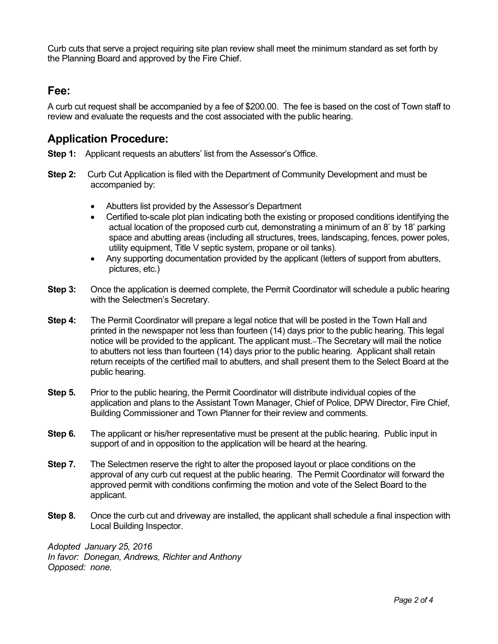Curb cuts that serve a project requiring site plan review shall meet the minimum standard as set forth by the Planning Board and approved by the Fire Chief.

#### **Fee:**

A curb cut request shall be accompanied by a fee of \$200.00. The fee is based on the cost of Town staff to review and evaluate the requests and the cost associated with the public hearing.

#### **Application Procedure:**

- **Step 1:** Applicant requests an abutters' list from the Assessor's Office.
- **Step 2:** Curb Cut Application is filed with the Department of Community Development and must be accompanied by:
	- Abutters list provided by the Assessor's Department
	- Certified to-scale plot plan indicating both the existing or proposed conditions identifying the actual location of the proposed curb cut, demonstrating a minimum of an 8' by 18' parking space and abutting areas (including all structures, trees, landscaping, fences, power poles, utility equipment, Title V septic system, propane or oil tanks).
	- Any supporting documentation provided by the applicant (letters of support from abutters, pictures, etc.)
- **Step 3:** Once the application is deemed complete, the Permit Coordinator will schedule a public hearing with the Selectmen's Secretary.
- **Step 4:** The Permit Coordinator will prepare a legal notice that will be posted in the Town Hall and printed in the newspaper not less than fourteen (14) days prior to the public hearing. This legal notice will be provided to the applicant. The applicant must. The Secretary will mail the notice to abutters not less than fourteen (14) days prior to the public hearing. Applicant shall retain return receipts of the certified mail to abutters, and shall present them to the Select Board at the public hearing.
- **Step 5.** Prior to the public hearing, the Permit Coordinator will distribute individual copies of the application and plans to the Assistant Town Manager, Chief of Police, DPW Director, Fire Chief, Building Commissioner and Town Planner for their review and comments.
- **Step 6.** The applicant or his/her representative must be present at the public hearing. Public input in support of and in opposition to the application will be heard at the hearing.
- **Step 7.** The Selectmen reserve the right to alter the proposed layout or place conditions on the approval of any curb cut request at the public hearing. The Permit Coordinator will forward the approved permit with conditions confirming the motion and vote of the Select Board to the applicant.
- **Step 8.** Once the curb cut and driveway are installed, the applicant shall schedule a final inspection with Local Building Inspector.

*Adopted January 25, 2016 In favor: Donegan, Andrews, Richter and Anthony Opposed: none.*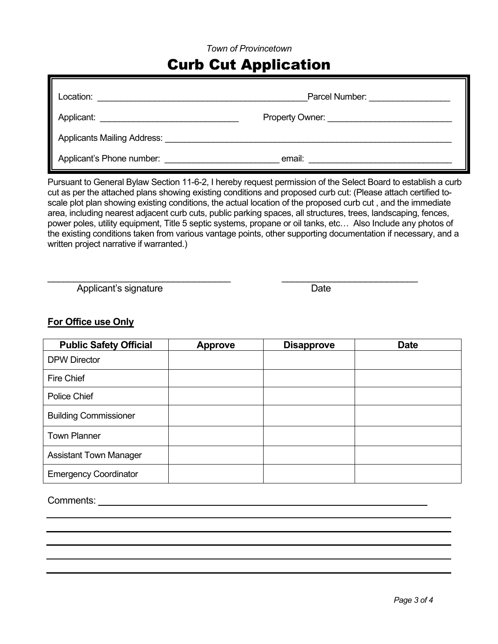#### *Town of Provincetown*

### Curb Cut Application

| Location:                          | Parcel Number:                         |  |  |
|------------------------------------|----------------------------------------|--|--|
| Applicant:                         | <b>Property Owner:</b> Property Owner: |  |  |
| <b>Applicants Mailing Address:</b> |                                        |  |  |
| Applicant's Phone number:          | email:                                 |  |  |

Pursuant to General Bylaw Section 11-6-2, I hereby request permission of the Select Board to establish a curb cut as per the attached plans showing existing conditions and proposed curb cut: (Please attach certified toscale plot plan showing existing conditions, the actual location of the proposed curb cut , and the immediate area, including nearest adjacent curb cuts, public parking spaces, all structures, trees, landscaping, fences, power poles, utility equipment, Title 5 septic systems, propane or oil tanks, etc… Also Include any photos of the existing conditions taken from various vantage points, other supporting documentation if necessary, and a written project narrative if warranted.)

\_\_\_\_\_\_\_\_\_\_\_\_\_\_\_\_\_\_\_\_\_\_\_\_\_\_\_\_\_\_\_\_\_\_\_ \_\_\_\_\_\_\_\_\_\_\_\_\_\_\_\_\_\_\_\_\_\_\_\_\_\_

Applicant's signature Date

#### **For Office use Only**

| <b>Public Safety Official</b> | <b>Approve</b> | <b>Disapprove</b> | <b>Date</b> |
|-------------------------------|----------------|-------------------|-------------|
| <b>DPW Director</b>           |                |                   |             |
| <b>Fire Chief</b>             |                |                   |             |
| Police Chief                  |                |                   |             |
| <b>Building Commissioner</b>  |                |                   |             |
| <b>Town Planner</b>           |                |                   |             |
| <b>Assistant Town Manager</b> |                |                   |             |
| <b>Emergency Coordinator</b>  |                |                   |             |

Comments: \_\_\_\_\_\_\_\_\_\_\_\_\_\_\_\_\_\_\_\_\_\_\_\_\_\_\_\_\_\_\_\_\_\_\_\_\_\_\_\_\_\_\_\_\_\_\_\_\_\_\_\_\_\_\_\_\_\_\_\_\_\_\_